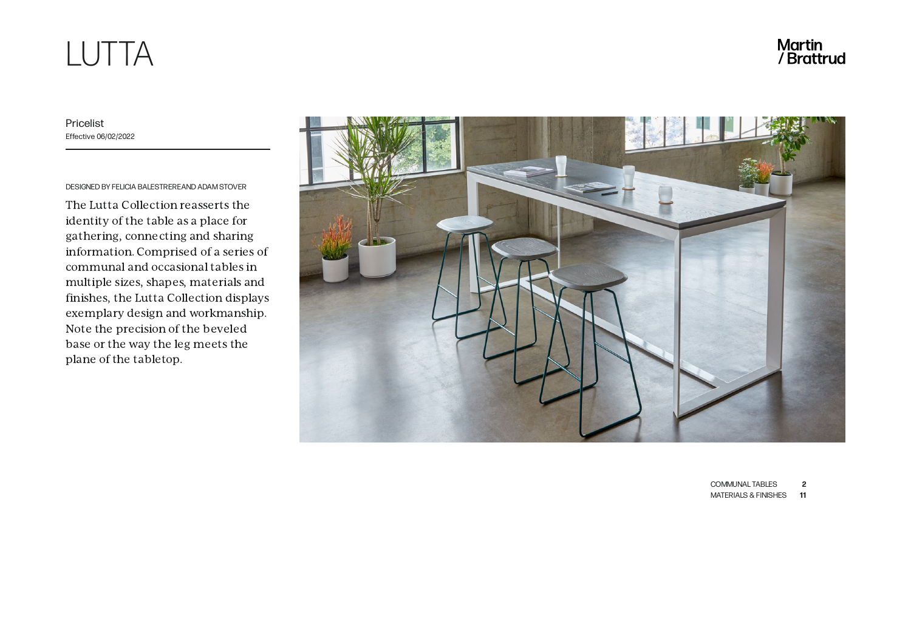# LUTTA

Martin<br>/ Brattrud

Pricelist Effective 06/02/2022

DESIGNED BY FELICIA BALESTREREAND ADAM STOVER

The Lutta Collection reasserts the identity of the table as a place for gathering, connecting and sharing information. Comprised of a series of communal and occasional tables in multiple sizes, shapes, materials and finishes, the Lutta Collection displays exemplary design and workmanship. Note the precision of the beveled base or the way the leg meets the plane of the tabletop.



[COMMUNAL](#page-1-0) TABLES **2**

[MATERIALS](#page-10-0) & FINISHES **11**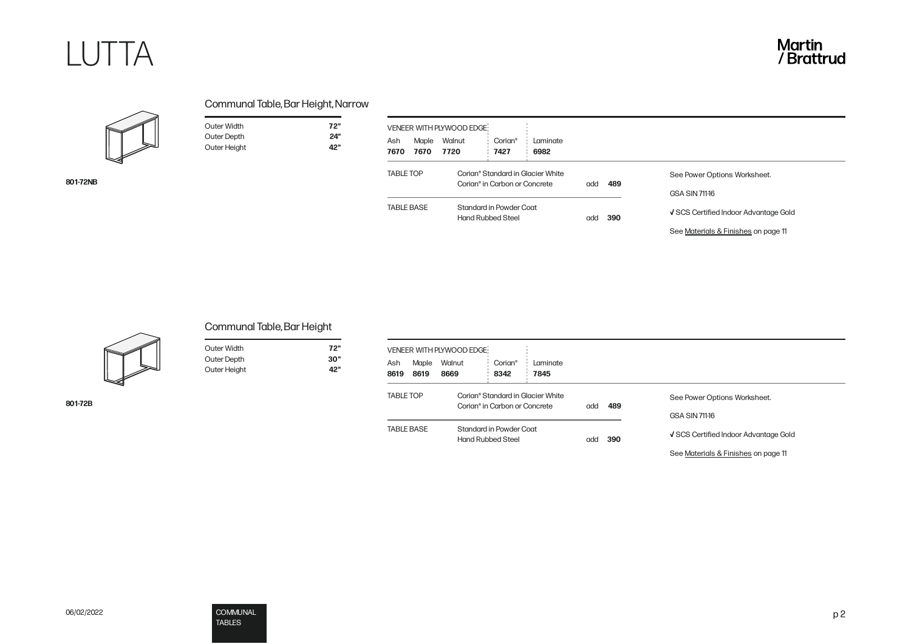<span id="page-1-0"></span>

**801-72NB**

Outer Width **72"** Outer Depth **24"**

**Outer Height** 

| Ash<br>7670       | Maple<br>7670 | Walnut<br>7720                                                                 | Corian <sup>°</sup><br>7427 | Laminate<br>6982 |     |     |                                       |
|-------------------|---------------|--------------------------------------------------------------------------------|-----------------------------|------------------|-----|-----|---------------------------------------|
| <b>TABLE TOP</b>  |               | Corian® Standard in Glacier White<br>Corian <sup>®</sup> in Carbon or Concrete |                             |                  | add | 489 | See Power Options Worksheet.          |
|                   |               |                                                                                |                             |                  |     |     | <b>GSA SIN 711-16</b>                 |
| <b>TABLE BASE</b> |               | Standard in Powder Coat<br><b>Hand Rubbed Steel</b>                            |                             |                  | add | 390 | V SCS Certified Indoor Advantage Gold |
|                   |               |                                                                                |                             |                  |     |     | See Materials & Finishes on page 11   |



## Communal Table, Bar Height

Outer Width **72"** 30"<br>42"

| Outer Width  |  |
|--------------|--|
| Outer Depth  |  |
| Outer Height |  |

| Maple<br>Ash<br>8619<br>8619 | VENEER WITH PLYWOOD EDGE!<br>Walnut<br>Corian <sup>®</sup><br>Laminate<br>8342<br>8669<br>7845 |            |                                                       |
|------------------------------|------------------------------------------------------------------------------------------------|------------|-------------------------------------------------------|
| <b>TABLE TOP</b>             | Corian® Standard in Glacier White<br>Corian <sup>®</sup> in Carbon or Concrete                 | 489<br>add | See Power Options Worksheet.<br><b>GSA SIN 711-16</b> |
| <b>TABLE BASE</b>            | Standard in Powder Coat<br><b>Hand Rubbed Steel</b>                                            | 390<br>add | √ SCS Certified Indoor Advantage Gold                 |
|                              |                                                                                                |            | See Materials & Finishes on page 11                   |

**801-72B**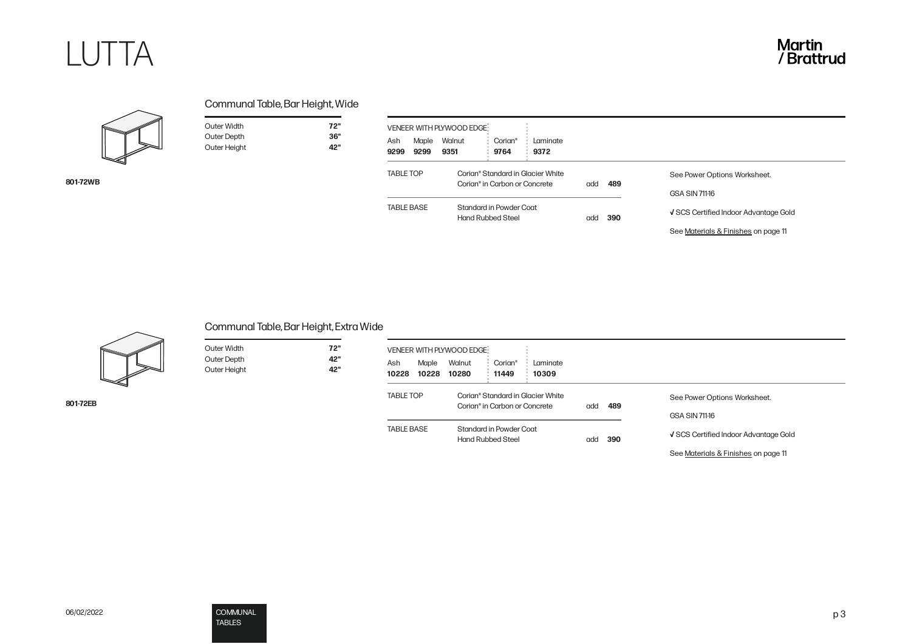

**801-72WB**

Outer Width **72"** Outer Depth **36"**<br>
Outer Height **42"** 

**Outer Height** 

| Maple<br>Ash<br>9299<br>9299 | Walnut<br>9351                                      | Corian <sup>®</sup><br>9764                                                    | Laminate<br>9372 |     |                                       |                                                       |
|------------------------------|-----------------------------------------------------|--------------------------------------------------------------------------------|------------------|-----|---------------------------------------|-------------------------------------------------------|
| <b>TABLE TOP</b>             |                                                     | Corian® Standard in Glacier White<br>Corian <sup>®</sup> in Carbon or Concrete |                  | add | 489                                   | See Power Options Worksheet.<br><b>GSA SIN 711-16</b> |
| <b>TABLE BASE</b>            | Standard in Powder Coat<br><b>Hand Rubbed Steel</b> |                                                                                | add              | 390 | √ SCS Certified Indoor Advantage Gold |                                                       |



## Communal Table, Bar Height, Extra Wide

Outer Width **72"** Outer Depth **42"** Outer Height **42"**

| Outer Width        |  |
|--------------------|--|
| <b>Outer Depth</b> |  |
| Outer Height       |  |

**801-72EB**

| VENEER WITH PLYWOOD EDGE<br>Ash<br>Maple<br>10228<br>10228 | Walnut<br>Corian <sup>®</sup><br>Laminate<br>10280<br>11449<br>10309           |            |                                       |
|------------------------------------------------------------|--------------------------------------------------------------------------------|------------|---------------------------------------|
| <b>TABLE TOP</b>                                           | Corian® Standard in Glacier White<br>Corian <sup>®</sup> in Carbon or Concrete | 489<br>add | See Power Options Worksheet.          |
| <b>TABLE BASE</b>                                          | Standard in Powder Coat                                                        |            | <b>GSA SIN 711-16</b>                 |
|                                                            | <b>Hand Rubbed Steel</b>                                                       | 390<br>ddd | V SCS Certified Indoor Advantage Gold |
|                                                            |                                                                                |            | See Materials & Finishes on page 11   |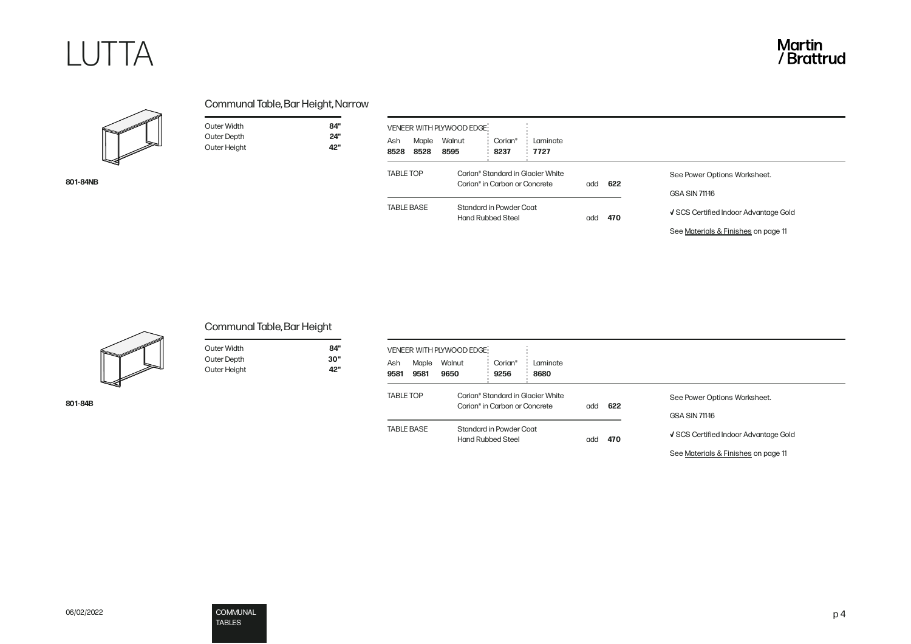

**801-84NB**

| Communal Table, Bar Height, Narrow |  |
|------------------------------------|--|
|------------------------------------|--|

Outer Width **84"**

Outer Height **42"**

**Outer Depth** 

| Ash<br>8528       | Maple<br>8528 | Walnut<br>8595                                      | Corian®<br>8237                                                                | Laminate<br>7727 |     |     |                                                       |
|-------------------|---------------|-----------------------------------------------------|--------------------------------------------------------------------------------|------------------|-----|-----|-------------------------------------------------------|
| <b>TABLE TOP</b>  |               |                                                     | Corian® Standard in Glacier White<br>Corian <sup>®</sup> in Carbon or Concrete |                  | add | 622 | See Power Options Worksheet.<br><b>GSA SIN 711-16</b> |
| <b>TABLE BASE</b> |               | Standard in Powder Coat<br><b>Hand Rubbed Steel</b> |                                                                                |                  | add | 470 | V SCS Certified Indoor Advantage Gold                 |



| Juter Width  |  |
|--------------|--|
| Juter Depth  |  |
| Juter Height |  |

**801-84B**

# Communal Table, Bar Height

| Outer Width  | 84" |
|--------------|-----|
| Outer Depth  | 30" |
| Outer Height | 42" |

| Ash<br>9581                           | Maple<br>9581 | VENEER WITH PLYWOOD EDGE:<br>Walnut<br>9650                                                                                           | Corian <sup>®</sup><br>9256 | Laminate<br>8680 |     |            |                                       |
|---------------------------------------|---------------|---------------------------------------------------------------------------------------------------------------------------------------|-----------------------------|------------------|-----|------------|---------------------------------------|
| <b>TABLE TOP</b><br><b>TABLE BASE</b> |               | Corian® Standard in Glacier White<br>Corian <sup>®</sup> in Carbon or Concrete<br>Standard in Powder Coat<br><b>Hand Rubbed Steel</b> |                             |                  | add | 622<br>470 | See Power Options Worksheet.          |
|                                       |               |                                                                                                                                       |                             |                  |     |            | <b>GSA SIN 711-16</b>                 |
|                                       |               |                                                                                                                                       |                             |                  | add |            | √ SCS Certified Indoor Advantage Gold |
|                                       |               |                                                                                                                                       |                             |                  |     |            | See Materials & Finishes on page 11   |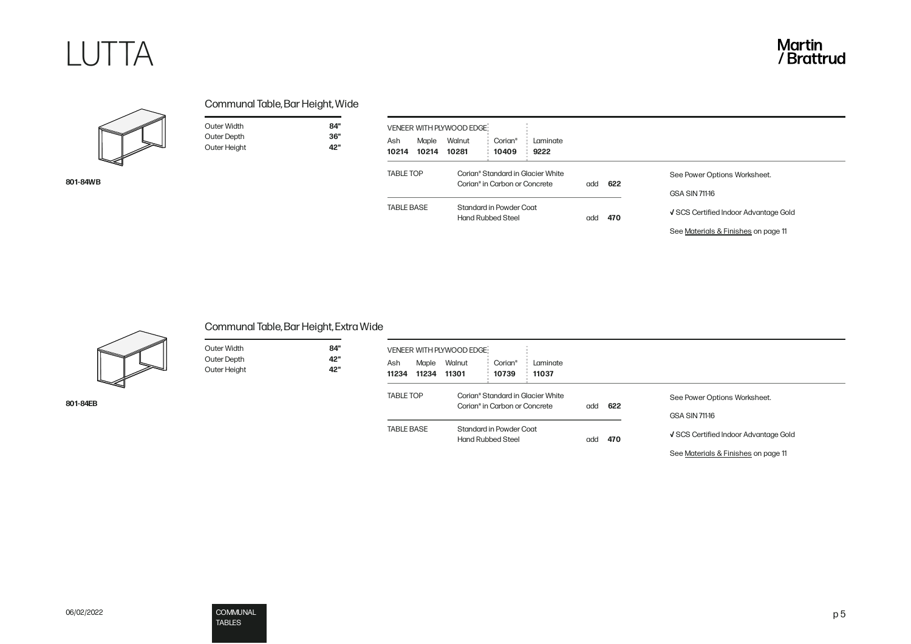

**801-84WB**

|  | Communal Table, Bar Height, Wide |  |
|--|----------------------------------|--|
|--|----------------------------------|--|

Outer Width **84"**<br>
Outer Depth **86"** Outer Depth **36"**<br>
Outer Height **42"** 

**Outer Height** 

| Ash<br>10214      | Maple<br>10214 | Walnut<br>10281                                                                | Corian <sup>®</sup><br>10409 | Laminate<br>9222 |     |     |                                                       |
|-------------------|----------------|--------------------------------------------------------------------------------|------------------------------|------------------|-----|-----|-------------------------------------------------------|
| <b>TABLE TOP</b>  |                | Corian® Standard in Glacier White<br>Corian <sup>®</sup> in Carbon or Concrete |                              |                  | add | 622 | See Power Options Worksheet.<br><b>GSA SIN 711-16</b> |
| <b>TABLE BASE</b> |                | Standard in Powder Coat<br><b>Hand Rubbed Steel</b>                            |                              |                  | add | 470 | √ SCS Certified Indoor Advantage Gold                 |
|                   |                |                                                                                |                              |                  |     |     | See Materials & Finishes on page 11                   |



## Communal Table, Bar Height, Extra Wide

Outer Width **84"** Outer Depth **42"** Outer Height **42"**

| <b>Outer Width</b> |  |
|--------------------|--|
| <b>Outer Depth</b> |  |
| Outer Height       |  |

| Ash<br>11234      | Maple<br>11234 | Walnut<br>11301                                                                | Corian®<br>10739 | Laminate<br>11037 |     |     |                                       |
|-------------------|----------------|--------------------------------------------------------------------------------|------------------|-------------------|-----|-----|---------------------------------------|
| <b>TABLE TOP</b>  |                | Corian® Standard in Glacier White<br>Corian <sup>®</sup> in Carbon or Concrete |                  |                   | add | 622 | See Power Options Worksheet.          |
|                   |                |                                                                                |                  |                   |     |     | <b>GSA SIN 711-16</b>                 |
| <b>TABLE BASE</b> |                | Standard in Powder Coat<br><b>Hand Rubbed Steel</b>                            |                  |                   | add | 470 | V SCS Certified Indoor Advantage Gold |
|                   |                |                                                                                |                  |                   |     |     | See Materials & Finishes on page 11   |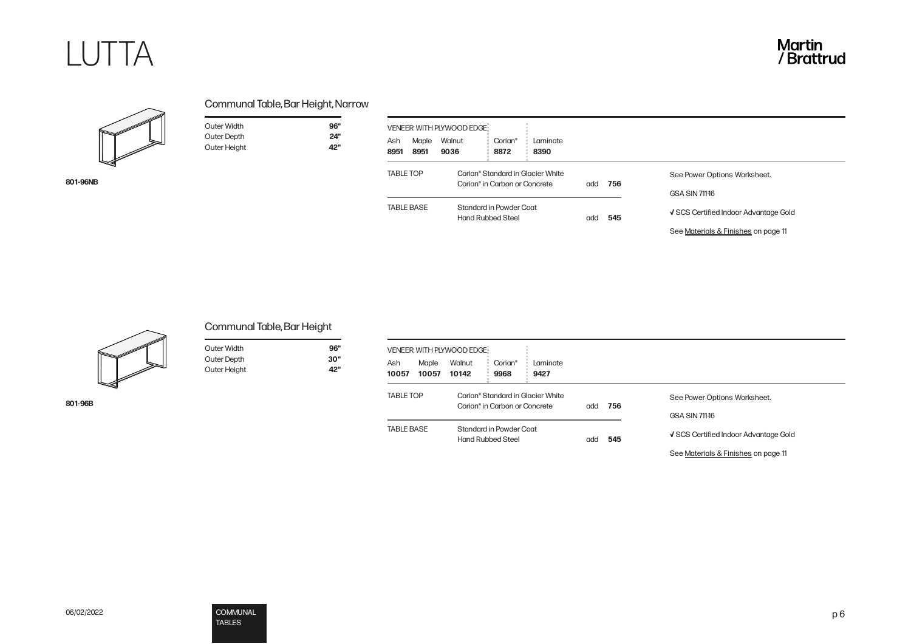



**801-96NB**

| Communal Table, Bar Height, Narrow |  |
|------------------------------------|--|
|------------------------------------|--|

| Outer Width  | 96" |
|--------------|-----|
| Outer Depth  | 24" |
| Outer Height | 42" |

 $\blacksquare$ 

| Ash<br>8951       | Maple<br>8951 | VENEER WITH PLYWOOD EDGE<br>Walnut<br>9036 | Corian <sup>®</sup><br>8872                                                    | Laminate<br>8390 |     |     |                                                                              |
|-------------------|---------------|--------------------------------------------|--------------------------------------------------------------------------------|------------------|-----|-----|------------------------------------------------------------------------------|
| <b>TABLE TOP</b>  |               |                                            | Corian® Standard in Glacier White<br>Corian <sup>®</sup> in Carbon or Concrete |                  | add | 756 | See Power Options Worksheet.<br><b>GSA SIN 711-16</b>                        |
| <b>TABLE BASE</b> |               |                                            | Standard in Powder Coat<br><b>Hand Rubbed Steel</b>                            |                  | add | 545 | √ SCS Certified Indoor Advantage Gold<br>See Materials & Finishes on page 11 |



Communal Table, Bar Height

| Outer Width  | 96" |
|--------------|-----|
| Outer Depth  | 30" |
| Outer Height | ב2" |

| Ash<br>10057      | Maple<br>10057 | VENEER WITH PLYWOOD EDGE:<br>Walnut<br>10142        | Corian <sup>®</sup><br>9968       | Laminate<br>9427 |     |                                                       |                                                                              |
|-------------------|----------------|-----------------------------------------------------|-----------------------------------|------------------|-----|-------------------------------------------------------|------------------------------------------------------------------------------|
| <b>TABLE TOP</b>  |                | Corian® in Carbon or Concrete                       | Corian® Standard in Glacier White | add              | 756 | See Power Options Worksheet.<br><b>GSA SIN 711-16</b> |                                                                              |
| <b>TABLE BASE</b> |                | Standard in Powder Coat<br><b>Hand Rubbed Steel</b> |                                   |                  | add | 545                                                   | V SCS Certified Indoor Advantage Gold<br>See Materials & Finishes on page 11 |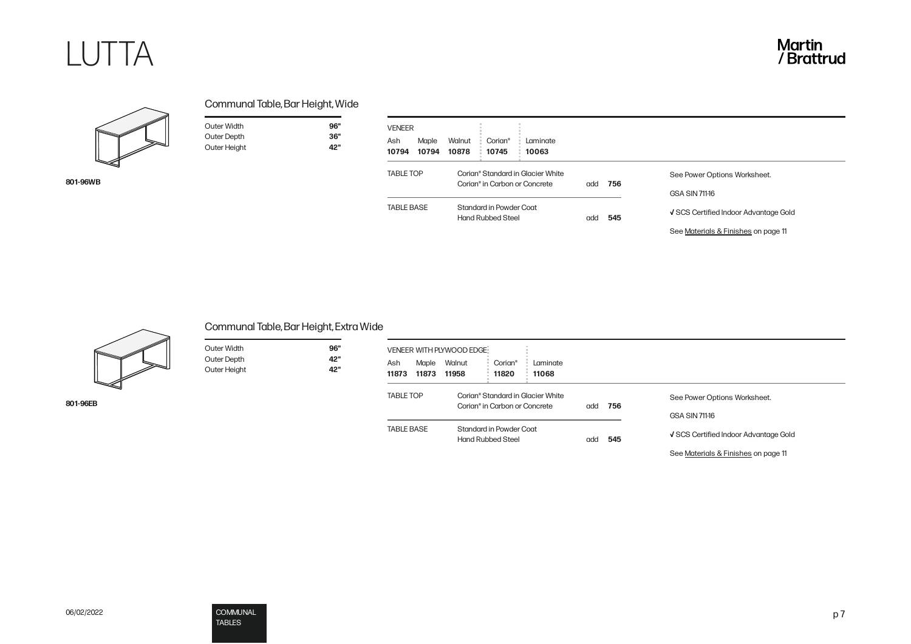



**801-96WB**

**801-96EB**

| Communal Table, Bar Height, Wide |  |
|----------------------------------|--|
|----------------------------------|--|

Outer Width **96"**<br>
Outer Depth **1970** 

Outer Height **42"**

**Outer Depth** 

| Ash<br>10794      | Maple<br>10794 | Walnut<br>10878                                                                | Corian <sup>®</sup><br>10745                        | Laminate<br>10063 |     |                              |                                       |
|-------------------|----------------|--------------------------------------------------------------------------------|-----------------------------------------------------|-------------------|-----|------------------------------|---------------------------------------|
| <b>TABLE TOP</b>  |                | Corian® Standard in Glacier White<br>Corian <sup>®</sup> in Carbon or Concrete |                                                     | add               | 756 | See Power Options Worksheet. |                                       |
|                   |                |                                                                                |                                                     |                   |     |                              | <b>GSA SIN 711-16</b>                 |
| <b>TABLE BASE</b> |                |                                                                                | Standard in Powder Coat<br><b>Hand Rubbed Steel</b> |                   | add | 545                          | √ SCS Certified Indoor Advantage Gold |
|                   |                |                                                                                |                                                     |                   |     |                              | See Materials & Finishes on page 11   |



## Communal Table, Bar Height, Extra Wide

| Outer Width        | 96" |
|--------------------|-----|
| <b>Outer Depth</b> | 42" |
| Outer Height       | 42" |

| Ł |  |  |  |
|---|--|--|--|

|                   |                | VENEER WITH PLYWOOD EDGE:                                                      |                                                     |                   |     |     |                                       |
|-------------------|----------------|--------------------------------------------------------------------------------|-----------------------------------------------------|-------------------|-----|-----|---------------------------------------|
| Ash<br>11873      | Maple<br>11873 | Walnut<br>11958                                                                | Corian <sup>®</sup><br>11820                        | Laminate<br>11068 |     |     |                                       |
| <b>TABLE TOP</b>  |                | Corian® Standard in Glacier White<br>Corian <sup>®</sup> in Carbon or Concrete |                                                     |                   | add | 756 | See Power Options Worksheet.          |
|                   |                |                                                                                |                                                     |                   |     |     | <b>GSA SIN 711-16</b>                 |
| <b>TABLE BASE</b> |                |                                                                                | Standard in Powder Coat<br><b>Hand Rubbed Steel</b> |                   | add | 545 | √ SCS Certified Indoor Advantage Gold |
|                   |                |                                                                                |                                                     |                   |     |     | See Materials & Finishes on page 11   |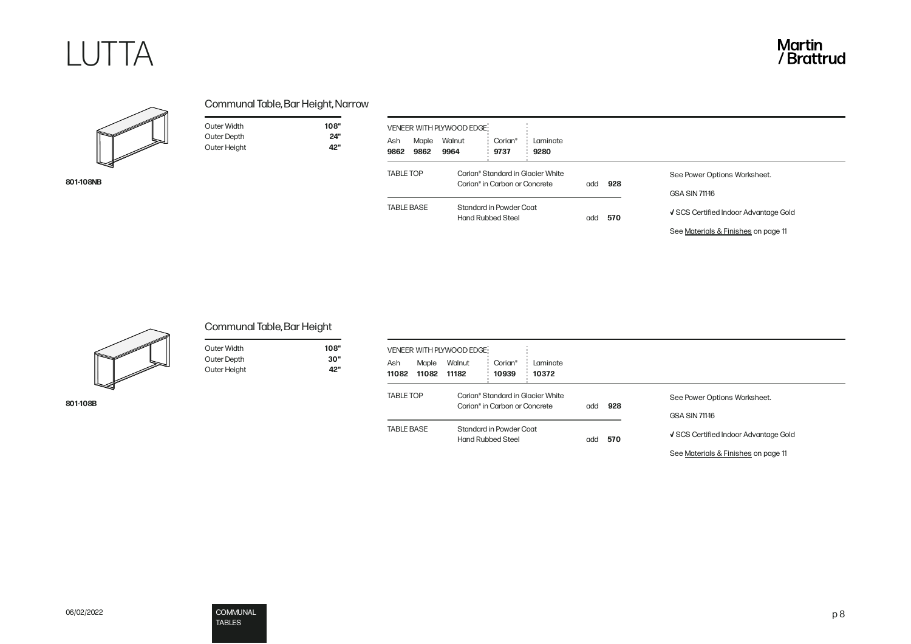



**801-108NB**

| Communal Table, Bar Height, Narrow |  |
|------------------------------------|--|
|------------------------------------|--|

| Outer Width  | 108" |
|--------------|------|
| Outer Depth  | 24"  |
| Outer Height | 42"  |

 $\sim$ 

| Ash<br>9862       | Maple<br>9862 | Walnut<br>9964 | Corian <sup>®</sup><br>9737                                                    | Laminate<br>9280 |     |     |                                                                              |
|-------------------|---------------|----------------|--------------------------------------------------------------------------------|------------------|-----|-----|------------------------------------------------------------------------------|
| <b>TABLE TOP</b>  |               |                | Corian® Standard in Glacier White<br>Corian <sup>®</sup> in Carbon or Concrete |                  | add | 928 | See Power Options Worksheet.<br><b>GSA SIN 711-16</b>                        |
| <b>TABLE BASE</b> |               |                | Standard in Powder Coat<br><b>Hand Rubbed Steel</b>                            |                  | add | 570 | √ SCS Certified Indoor Advantage Gold<br>See Materials & Finishes on page 11 |



## Communal Table, Bar Height

| Outer Width  | 108" |
|--------------|------|
| Outer Depth  | 30"  |
| Outer Height | ב2"  |

| ۰.<br>× |  |
|---------|--|
|---------|--|

| Ash<br>Maple<br>11082<br>11082 | Walnut<br>11182                                     | Corian <sup>®</sup><br>10939                                                   | Laminate<br>10372 |     |                                       |                                     |
|--------------------------------|-----------------------------------------------------|--------------------------------------------------------------------------------|-------------------|-----|---------------------------------------|-------------------------------------|
| <b>TABLE TOP</b>               |                                                     | Corian® Standard in Glacier White<br>Corian <sup>®</sup> in Carbon or Concrete |                   | add | 928                                   | See Power Options Worksheet.        |
|                                |                                                     |                                                                                |                   |     |                                       | <b>GSA SIN 711-16</b>               |
| <b>TABLE BASE</b>              | Standard in Powder Coat<br><b>Hand Rubbed Steel</b> |                                                                                | add               | 570 | √ SCS Certified Indoor Advantage Gold |                                     |
|                                |                                                     |                                                                                |                   |     |                                       | See Materials & Finishes on page 11 |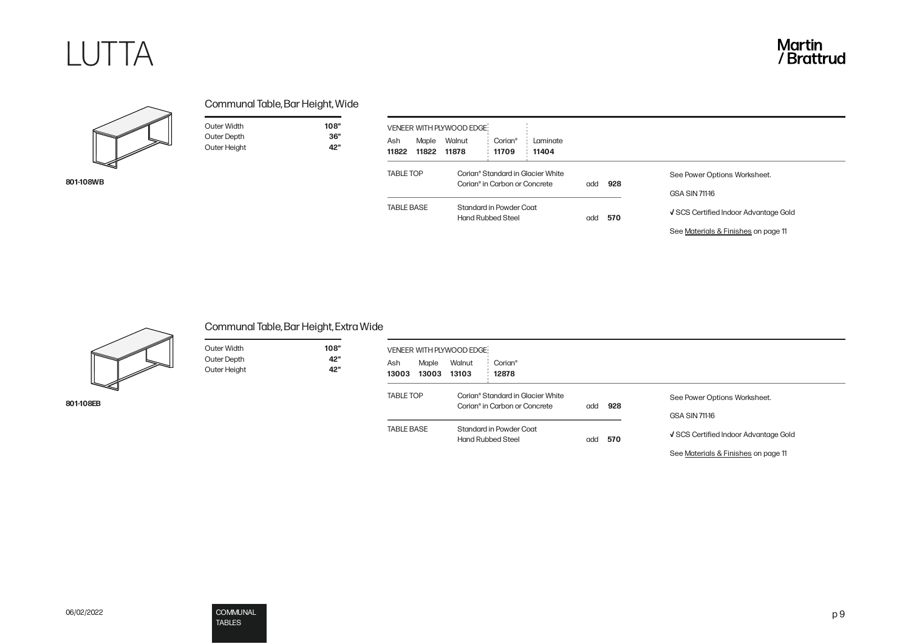



**801-108WB**

| Communal Table, Bar Height, Wide |
|----------------------------------|
|----------------------------------|

| Outer Width  | 108" |
|--------------|------|
| Outer Depth  | 36"  |
| Outer Height | "כּב |

 $\sim$ 

| Ash<br>11822      | Maple | VENEER WITH PLYWOOD EDGE<br>Walnut<br>11822 11878                              | Corian <sup>®</sup><br>11709 | Laminate<br>11404 |     |     |                                                       |  |
|-------------------|-------|--------------------------------------------------------------------------------|------------------------------|-------------------|-----|-----|-------------------------------------------------------|--|
| <b>TABLE TOP</b>  |       | Corian® Standard in Glacier White<br>Corian <sup>®</sup> in Carbon or Concrete |                              |                   | add | 928 | See Power Options Worksheet.<br><b>GSA SIN 711-16</b> |  |
| <b>TABLE BASE</b> |       | Standard in Powder Coat<br><b>Hand Rubbed Steel</b>                            |                              |                   | add | 570 | √ SCS Certified Indoor Advantage Gold                 |  |
|                   |       |                                                                                |                              |                   |     |     | See Materials & Finishes on page 11                   |  |



**801-108EB**

Communal Table, Bar Height, Extra Wide

| Outer Width  | 108" |
|--------------|------|
| Outer Depth  | 42"  |
| Outer Height | "כּב |

| 108" |
|------|
| 42"  |

| Ash<br>13003      | Maple<br>13003 | VENEER WITH PLYWOOD EDGE!<br>Walnut<br>13103                                   | Corian <sup>®</sup><br>12878 |            |     |                                                                              |
|-------------------|----------------|--------------------------------------------------------------------------------|------------------------------|------------|-----|------------------------------------------------------------------------------|
| <b>TABLE TOP</b>  |                | Corian® Standard in Glacier White<br>Corian <sup>®</sup> in Carbon or Concrete |                              | 928<br>add |     | See Power Options Worksheet.<br><b>GSA SIN 711-16</b>                        |
| <b>TABLE BASE</b> |                | Standard in Powder Coat<br><b>Hand Rubbed Steel</b>                            |                              | ddd        | 570 | √ SCS Certified Indoor Advantage Gold<br>See Materials & Finishes on page 11 |

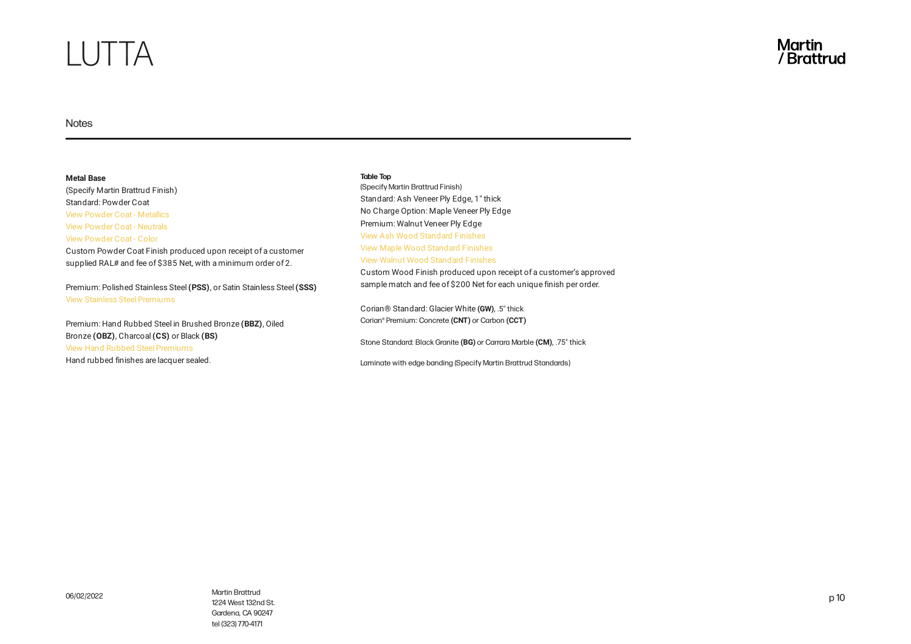# LUTTA

### Notes

**Metal Base** (Specify Martin Brattrud Finish) Standard: Powder Coat View Powder Coat - [Metallics](https://martinbrattrud.com/finishes/8/Metal/22/Powder+Coat+-+Metallics/) View Powder Coat - [Neutrals](https://martinbrattrud.com/finishes/8/Metal/23/Powder+Coat+-+Neutrals/) View [Powder](https://martinbrattrud.com/finishes/8/Metal/24/Powder+Coat+-+Color/) Coat - Color Custom Powder Coat Finish produced upon receipt of a customer supplied RAL# and fee of \$385 Net, with a minimum order of 2.

Premium: Polished Stainless Steel **(PSS)**, or Satin Stainless Steel **(SSS)** View Stainless Steel [Premiums](https://martinbrattrud.com/finishes/8/Metal/20/Stainless+Steel/7)

Premium: Hand Rubbed Steel in Brushed Bronze **(BBZ)**, Oiled Bronze **(OBZ)**, Charcoal**(CS)** or Black **(BS)** View Hand Rubbed Steel [Premiums](https://martinbrattrud.com/finishes/8/Metal/21/Hand+Rubbed+Steel/) Hand rubbed finishes are lacquer sealed.

#### **Table Top**

(Specify Martin Brattrud Finish) Standard: Ash Veneer Ply Edge, 1" thick No Charge Option: Maple Veneer Ply Edge Premium: Walnut Veneer Ply Edge View Ash Wood [Standard](https://martinbrattrud.com/finishes/7/Wood/19/Ash/) Finishes View Maple Wood [Standard](https://martinbrattrud.com/finishes/7/Wood/16/Maple/) Finishes View Walnut Wood [Standard](https://martinbrattrud.com/finishes/7/Wood/17/Rift+Cut+Oak/) Finishes

Custom Wood Finish produced upon receipt of a customer's approved sample match and fee of \$200 Net for each unique finish per order.

Corian® Standard: Glacier White **(GW)**, .5" thick Corian® Premium: Concrete **(CNT)** or Carbon **(CCT)**

Stone Standard: Black Granite **(BG)** or Carrara Marble **(CM)**, .75" thick

Laminate with edge banding (Specify Martin Brattrud Standards)